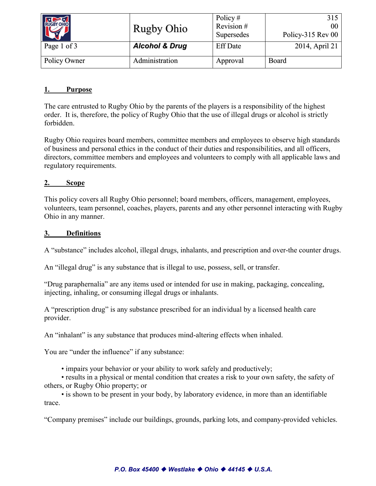| RUGBY OHIO   | <b>Rugby Ohio</b>         | Policy $#$<br>Revision# | 315<br>00 <sup>1</sup> |
|--------------|---------------------------|-------------------------|------------------------|
|              |                           | Supersedes              | Policy-315 Rev 00      |
| Page 1 of 3  | <b>Alcohol &amp; Drug</b> | <b>Eff Date</b>         | 2014, April 21         |
| Policy Owner | Administration            | Approval                | <b>Board</b>           |

### **1. Purpose**

The care entrusted to Rugby Ohio by the parents of the players is a responsibility of the highest order. It is, therefore, the policy of Rugby Ohio that the use of illegal drugs or alcohol is strictly forbidden.

Rugby Ohio requires board members, committee members and employees to observe high standards of business and personal ethics in the conduct of their duties and responsibilities, and all officers, directors, committee members and employees and volunteers to comply with all applicable laws and regulatory requirements.

#### **2. Scope**

This policy covers all Rugby Ohio personnel; board members, officers, management, employees, volunteers, team personnel, coaches, players, parents and any other personnel interacting with Rugby Ohio in any manner.

#### **3. Definitions**

A "substance" includes alcohol, illegal drugs, inhalants, and prescription and over-the counter drugs.

An "illegal drug" is any substance that is illegal to use, possess, sell, or transfer.

"Drug paraphernalia" are any items used or intended for use in making, packaging, concealing, injecting, inhaling, or consuming illegal drugs or inhalants.

A "prescription drug" is any substance prescribed for an individual by a licensed health care provider.

An "inhalant" is any substance that produces mind-altering effects when inhaled.

You are "under the influence" if any substance:

• impairs your behavior or your ability to work safely and productively;

• results in a physical or mental condition that creates a risk to your own safety, the safety of others, or Rugby Ohio property; or

• is shown to be present in your body, by laboratory evidence, in more than an identifiable trace.

"Company premises" include our buildings, grounds, parking lots, and company-provided vehicles.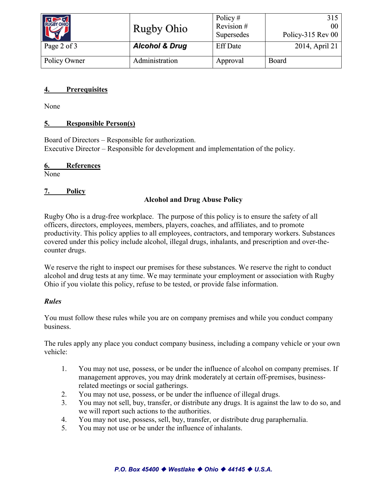| RUGBY OHIO   | <b>Rugby Ohio</b>         | Policy $#$<br>Revision #<br>Supersedes | 315<br>00<br>Policy-315 Rev 00 |
|--------------|---------------------------|----------------------------------------|--------------------------------|
| Page 2 of 3  | <b>Alcohol &amp; Drug</b> | <b>Eff Date</b>                        | 2014, April 21                 |
| Policy Owner | Administration            | Approval                               | Board                          |

## **4. Prerequisites**

None

## **5. Responsible Person(s)**

Board of Directors – Responsible for authorization. Executive Director – Responsible for development and implementation of the policy.

#### **6. References**

None

## **7. Policy**

## **Alcohol and Drug Abuse Policy**

Rugby Oho is a drug-free workplace. The purpose of this policy is to ensure the safety of all officers, directors, employees, members, players, coaches, and affiliates, and to promote productivity. This policy applies to all employees, contractors, and temporary workers. Substances covered under this policy include alcohol, illegal drugs, inhalants, and prescription and over-thecounter drugs.

We reserve the right to inspect our premises for these substances. We reserve the right to conduct alcohol and drug tests at any time. We may terminate your employment or association with Rugby Ohio if you violate this policy, refuse to be tested, or provide false information.

## *Rules*

You must follow these rules while you are on company premises and while you conduct company business.

The rules apply any place you conduct company business, including a company vehicle or your own vehicle:

- 1. You may not use, possess, or be under the influence of alcohol on company premises. If management approves, you may drink moderately at certain off-premises, businessrelated meetings or social gatherings.
- 2. You may not use, possess, or be under the influence of illegal drugs.
- 3. You may not sell, buy, transfer, or distribute any drugs. It is against the law to do so, and we will report such actions to the authorities.
- 4. You may not use, possess, sell, buy, transfer, or distribute drug paraphernalia.
- 5. You may not use or be under the influence of inhalants.